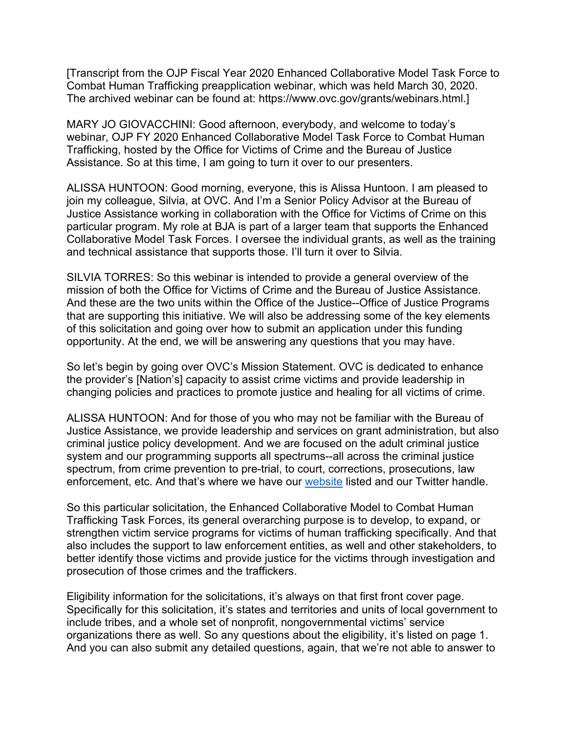[Transcript from the OJP Fiscal Year 2020 Enhanced Collaborative Model Task Force to Combat Human Trafficking preapplication webinar, which was held March 30, 2020. The archived webinar can be found at: [https://www.ovc.gov/grants/webinars.html.](https://www.ovc.gov/grants/webinars.html)]

MARY JO GIOVACCHINI: Good afternoon, everybody, and welcome to today's webinar, OJP FY 2020 Enhanced Collaborative Model Task Force to Combat Human Trafficking, hosted by the Office for Victims of Crime and the Bureau of Justice Assistance. So at this time, I am going to turn it over to our presenters.

ALISSA HUNTOON: Good morning, everyone, this is Alissa Huntoon. I am pleased to join my colleague, Silvia, at OVC. And I'm a Senior Policy Advisor at the Bureau of Justice Assistance working in collaboration with the Office for Victims of Crime on this particular program. My role at BJA is part of a larger team that supports the Enhanced Collaborative Model Task Forces. I oversee the individual grants, as well as the training and technical assistance that supports those. I'll turn it over to Silvia.

SILVIA TORRES: So this webinar is intended to provide a general overview of the mission of both the Office for Victims of Crime and the Bureau of Justice Assistance. And these are the two units within the Office of the Justice--Office of Justice Programs that are supporting this initiative. We will also be addressing some of the key elements of this solicitation and going over how to submit an application under this funding opportunity. At the end, we will be answering any questions that you may have.

So let's begin by going over OVC's Mission Statement. OVC is dedicated to enhance the provider's [Nation's] capacity to assist crime victims and provide leadership in changing policies and practices to promote justice and healing for all victims of crime.

ALISSA HUNTOON: And for those of you who may not be familiar with the Bureau of Justice Assistance, we provide leadership and services on grant administration, but also criminal justice policy development. And we are focused on the adult criminal justice system and our programming supports all spectrums--all across the criminal justice spectrum, from crime prevention to pre-trial, to court, corrections, prosecutions, law enforcement, etc. And that's where we have our [website](http://www.bja.gov/) listed and our Twitter handle.

So this particular solicitation, the Enhanced Collaborative Model to Combat Human Trafficking Task Forces, its general overarching purpose is to develop, to expand, or strengthen victim service programs for victims of human trafficking specifically. And that also includes the support to law enforcement entities, as well and other stakeholders, to better identify those victims and provide justice for the victims through investigation and prosecution of those crimes and the traffickers.

Eligibility information for the solicitations, it's always on that first front cover page. Specifically for this solicitation, it's states and territories and units of local government to include tribes, and a whole set of nonprofit, nongovernmental victims' service organizations there as well. So any questions about the eligibility, it's listed on page 1. And you can also submit any detailed questions, again, that we're not able to answer to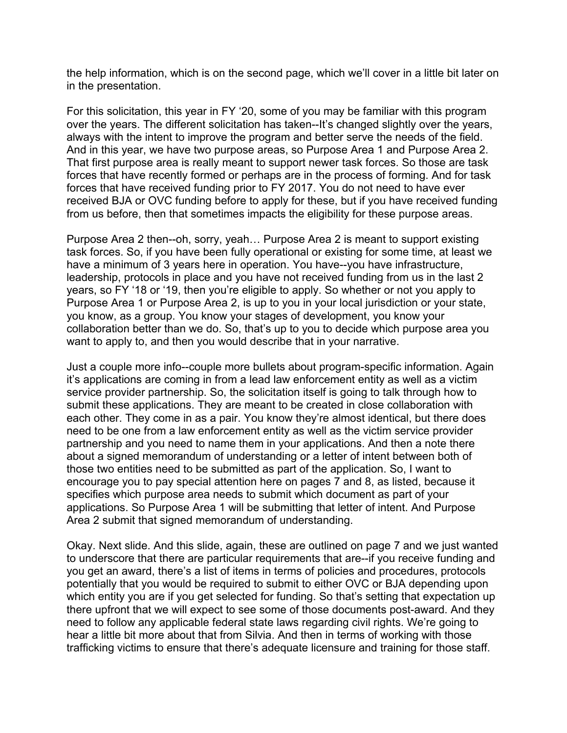the help information, which is on the second page, which we'll cover in a little bit later on in the presentation.

For this solicitation, this year in FY '20, some of you may be familiar with this program over the years. The different solicitation has taken--It's changed slightly over the years, always with the intent to improve the program and better serve the needs of the field. And in this year, we have two purpose areas, so Purpose Area 1 and Purpose Area 2. That first purpose area is really meant to support newer task forces. So those are task forces that have recently formed or perhaps are in the process of forming. And for task forces that have received funding prior to FY 2017. You do not need to have ever received BJA or OVC funding before to apply for these, but if you have received funding from us before, then that sometimes impacts the eligibility for these purpose areas.

Purpose Area 2 then--oh, sorry, yeah… Purpose Area 2 is meant to support existing task forces. So, if you have been fully operational or existing for some time, at least we have a minimum of 3 years here in operation. You have--you have infrastructure, leadership, protocols in place and you have not received funding from us in the last 2 years, so FY '18 or '19, then you're eligible to apply. So whether or not you apply to Purpose Area 1 or Purpose Area 2, is up to you in your local jurisdiction or your state, you know, as a group. You know your stages of development, you know your collaboration better than we do. So, that's up to you to decide which purpose area you want to apply to, and then you would describe that in your narrative.

Just a couple more info--couple more bullets about program-specific information. Again it's applications are coming in from a lead law enforcement entity as well as a victim service provider partnership. So, the solicitation itself is going to talk through how to submit these applications. They are meant to be created in close collaboration with each other. They come in as a pair. You know they're almost identical, but there does need to be one from a law enforcement entity as well as the victim service provider partnership and you need to name them in your applications. And then a note there about a signed memorandum of understanding or a letter of intent between both of those two entities need to be submitted as part of the application. So, I want to encourage you to pay special attention here on pages 7 and 8, as listed, because it specifies which purpose area needs to submit which document as part of your applications. So Purpose Area 1 will be submitting that letter of intent. And Purpose Area 2 submit that signed memorandum of understanding.

Okay. Next slide. And this slide, again, these are outlined on page 7 and we just wanted to underscore that there are particular requirements that are--if you receive funding and you get an award, there's a list of items in terms of policies and procedures, protocols potentially that you would be required to submit to either OVC or BJA depending upon which entity you are if you get selected for funding. So that's setting that expectation up there upfront that we will expect to see some of those documents post-award. And they need to follow any applicable federal state laws regarding civil rights. We're going to hear a little bit more about that from Silvia. And then in terms of working with those trafficking victims to ensure that there's adequate licensure and training for those staff.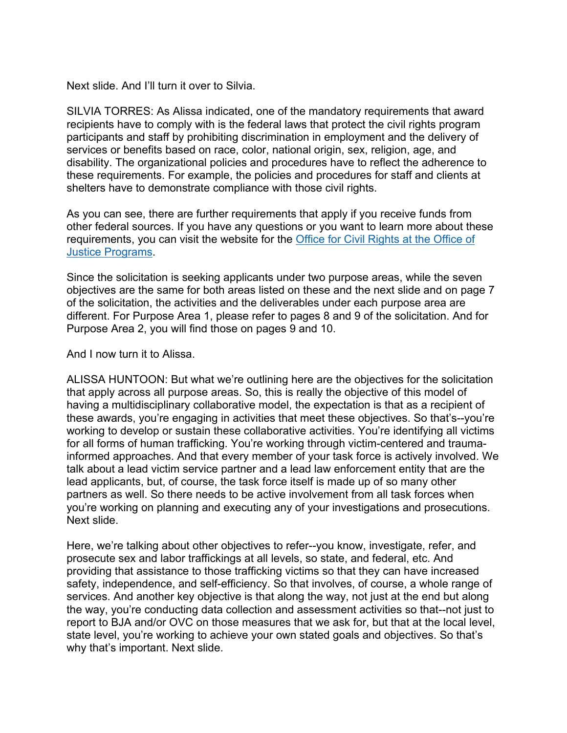Next slide. And I'll turn it over to Silvia.

SILVIA TORRES: As Alissa indicated, one of the mandatory requirements that award recipients have to comply with is the federal laws that protect the civil rights program participants and staff by prohibiting discrimination in employment and the delivery of services or benefits based on race, color, national origin, sex, religion, age, and disability. The organizational policies and procedures have to reflect the adherence to these requirements. For example, the policies and procedures for staff and clients at shelters have to demonstrate compliance with those civil rights.

As you can see, there are further requirements that apply if you receive funds from other federal sources. If you have any questions or you want to learn more about these requirements, you can visit the website for the [Office for Civil Rights at the Office of](https://www.ojp.gov/about/offices/ocr.htm)  [Justice Programs.](https://www.ojp.gov/about/offices/ocr.htm)

Since the solicitation is seeking applicants under two purpose areas, while the seven objectives are the same for both areas listed on these and the next slide and on page 7 of the solicitation, the activities and the deliverables under each purpose area are different. For Purpose Area 1, please refer to pages 8 and 9 of the solicitation. And for Purpose Area 2, you will find those on pages 9 and 10.

## And I now turn it to Alissa.

ALISSA HUNTOON: But what we're outlining here are the objectives for the solicitation that apply across all purpose areas. So, this is really the objective of this model of having a multidisciplinary collaborative model, the expectation is that as a recipient of these awards, you're engaging in activities that meet these objectives. So that's--you're working to develop or sustain these collaborative activities. You're identifying all victims for all forms of human trafficking. You're working through victim-centered and traumainformed approaches. And that every member of your task force is actively involved. We talk about a lead victim service partner and a lead law enforcement entity that are the lead applicants, but, of course, the task force itself is made up of so many other partners as well. So there needs to be active involvement from all task forces when you're working on planning and executing any of your investigations and prosecutions. Next slide.

Here, we're talking about other objectives to refer--you know, investigate, refer, and prosecute sex and labor traffickings at all levels, so state, and federal, etc. And providing that assistance to those trafficking victims so that they can have increased safety, independence, and self-efficiency. So that involves, of course, a whole range of services. And another key objective is that along the way, not just at the end but along the way, you're conducting data collection and assessment activities so that--not just to report to BJA and/or OVC on those measures that we ask for, but that at the local level, state level, you're working to achieve your own stated goals and objectives. So that's why that's important. Next slide.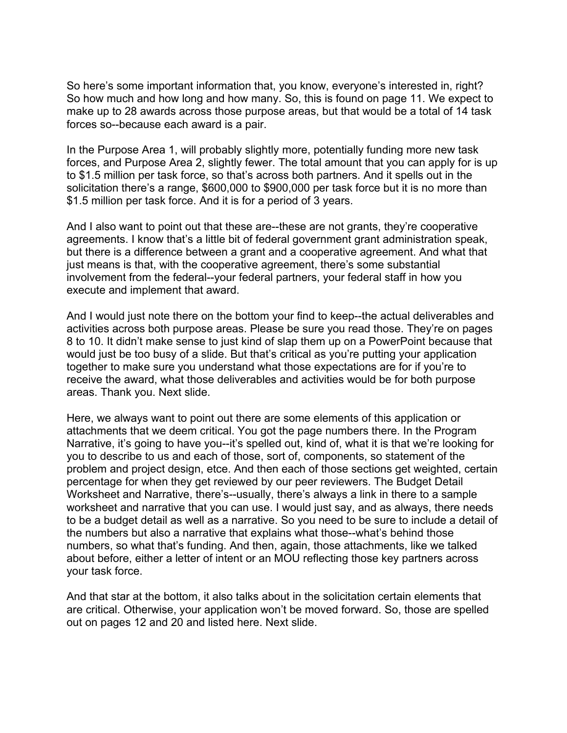So here's some important information that, you know, everyone's interested in, right? So how much and how long and how many. So, this is found on page 11. We expect to make up to 28 awards across those purpose areas, but that would be a total of 14 task forces so--because each award is a pair.

In the Purpose Area 1, will probably slightly more, potentially funding more new task forces, and Purpose Area 2, slightly fewer. The total amount that you can apply for is up to \$1.5 million per task force, so that's across both partners. And it spells out in the solicitation there's a range, \$600,000 to \$900,000 per task force but it is no more than \$1.5 million per task force. And it is for a period of 3 years.

And I also want to point out that these are--these are not grants, they're cooperative agreements. I know that's a little bit of federal government grant administration speak, but there is a difference between a grant and a cooperative agreement. And what that just means is that, with the cooperative agreement, there's some substantial involvement from the federal--your federal partners, your federal staff in how you execute and implement that award.

And I would just note there on the bottom your find to keep--the actual deliverables and activities across both purpose areas. Please be sure you read those. They're on pages 8 to 10. It didn't make sense to just kind of slap them up on a PowerPoint because that would just be too busy of a slide. But that's critical as you're putting your application together to make sure you understand what those expectations are for if you're to receive the award, what those deliverables and activities would be for both purpose areas. Thank you. Next slide.

Here, we always want to point out there are some elements of this application or attachments that we deem critical. You got the page numbers there. In the Program Narrative, it's going to have you--it's spelled out, kind of, what it is that we're looking for you to describe to us and each of those, sort of, components, so statement of the problem and project design, etce. And then each of those sections get weighted, certain percentage for when they get reviewed by our peer reviewers. The Budget Detail Worksheet and Narrative, there's--usually, there's always a link in there to a sample worksheet and narrative that you can use. I would just say, and as always, there needs to be a budget detail as well as a narrative. So you need to be sure to include a detail of the numbers but also a narrative that explains what those--what's behind those numbers, so what that's funding. And then, again, those attachments, like we talked about before, either a letter of intent or an MOU reflecting those key partners across your task force.

And that star at the bottom, it also talks about in the solicitation certain elements that are critical. Otherwise, your application won't be moved forward. So, those are spelled out on pages 12 and 20 and listed here. Next slide.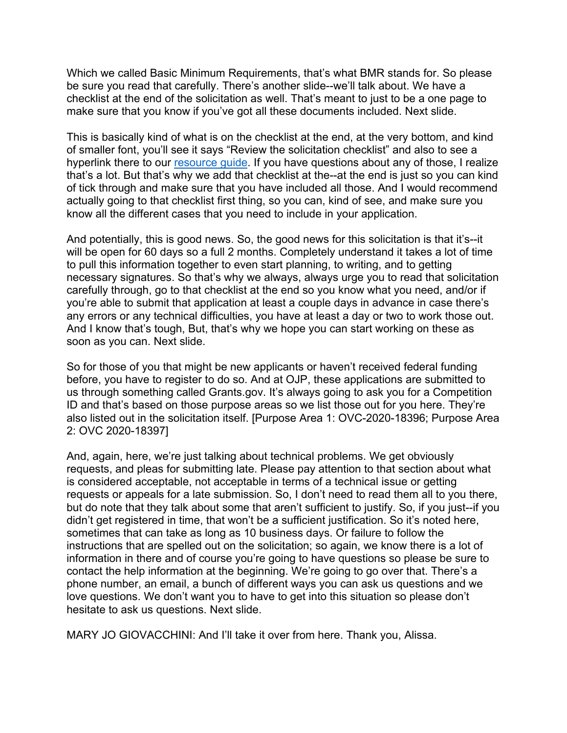Which we called Basic Minimum Requirements, that's what BMR stands for. So please be sure you read that carefully. There's another slide--we'll talk about. We have a checklist at the end of the solicitation as well. That's meant to just to be a one page to make sure that you know if you've got all these documents included. Next slide.

This is basically kind of what is on the checklist at the end, at the very bottom, and kind of smaller font, you'll see it says "Review the solicitation checklist" and also to see a hyperlink there to our [resource guide.](https://www.ojp.gov/funding/Apply/Resources/Grant-App-Resource-Guide.htm) If you have questions about any of those, I realize that's a lot. But that's why we add that checklist at the--at the end is just so you can kind of tick through and make sure that you have included all those. And I would recommend actually going to that checklist first thing, so you can, kind of see, and make sure you know all the different cases that you need to include in your application.

And potentially, this is good news. So, the good news for this solicitation is that it's--it will be open for 60 days so a full 2 months. Completely understand it takes a lot of time to pull this information together to even start planning, to writing, and to getting necessary signatures. So that's why we always, always urge you to read that solicitation carefully through, go to that checklist at the end so you know what you need, and/or if you're able to submit that application at least a couple days in advance in case there's any errors or any technical difficulties, you have at least a day or two to work those out. And I know that's tough, But, that's why we hope you can start working on these as soon as you can. Next slide.

So for those of you that might be new applicants or haven't received federal funding before, you have to register to do so. And at OJP, these applications are submitted to us through something called Grants.gov. It's always going to ask you for a Competition ID and that's based on those purpose areas so we list those out for you here. They're also listed out in the solicitation itself. [Purpose Area 1: OVC-2020-18396; Purpose Area 2: OVC 2020-18397]

And, again, here, we're just talking about technical problems. We get obviously requests, and pleas for submitting late. Please pay attention to that section about what is considered acceptable, not acceptable in terms of a technical issue or getting requests or appeals for a late submission. So, I don't need to read them all to you there, but do note that they talk about some that aren't sufficient to justify. So, if you just--if you didn't get registered in time, that won't be a sufficient justification. So it's noted here, sometimes that can take as long as 10 business days. Or failure to follow the instructions that are spelled out on the solicitation; so again, we know there is a lot of information in there and of course you're going to have questions so please be sure to contact the help information at the beginning. We're going to go over that. There's a phone number, an email, a bunch of different ways you can ask us questions and we love questions. We don't want you to have to get into this situation so please don't hesitate to ask us questions. Next slide.

MARY JO GIOVACCHINI: And I'll take it over from here. Thank you, Alissa.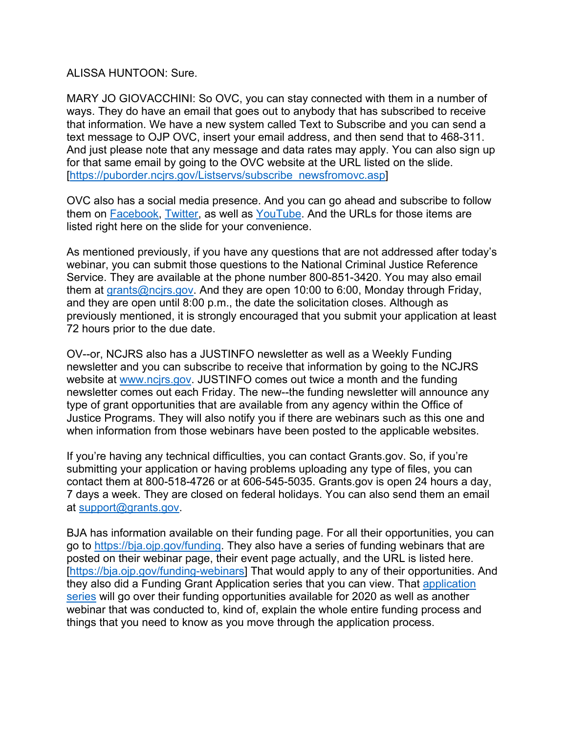## ALISSA HUNTOON: Sure.

MARY JO GIOVACCHINI: So OVC, you can stay connected with them in a number of ways. They do have an email that goes out to anybody that has subscribed to receive that information. We have a new system called Text to Subscribe and you can send a text message to OJP OVC, insert your email address, and then send that to 468-311. And just please note that any message and data rates may apply. You can also sign up for that same email by going to the OVC website at the URL listed on the slide. [\[https://puborder.ncjrs.gov/Listservs/subscribe\\_newsfromovc.asp\]](https://puborder.ncjrs.gov/Listservs/subscribe_newsfromovc.asp)

OVC also has a social media presence. And you can go ahead and subscribe to follow them on [Facebook,](https://www.facebook.com/OJPOVC) [Twitter,](https://twitter.com/OJPOVC) as well as [YouTube.](http://www.youtube.com/ojpovc) And the URLs for those items are listed right here on the slide for your convenience.

As mentioned previously, if you have any questions that are not addressed after today's webinar, you can submit those questions to the National Criminal Justice Reference Service. They are available at the phone number 800-851-3420. You may also email them at [grants@ncjrs.gov.](mailto:grants@ncjrs.gov) And they are open 10:00 to 6:00, Monday through Friday, and they are open until 8:00 p.m., the date the solicitation closes. Although as previously mentioned, it is strongly encouraged that you submit your application at least 72 hours prior to the due date.

OV--or, NCJRS also has a JUSTINFO newsletter as well as a Weekly Funding newsletter and you can subscribe to receive that information by going to the NCJRS website at [www.ncjrs.gov.](http://www.ncjrs.gov/) JUSTINFO comes out twice a month and the funding newsletter comes out each Friday. The new--the funding newsletter will announce any type of grant opportunities that are available from any agency within the Office of Justice Programs. They will also notify you if there are webinars such as this one and when information from those webinars have been posted to the applicable websites.

If you're having any technical difficulties, you can contact Grants.gov. So, if you're submitting your application or having problems uploading any type of files, you can contact them at 800-518-4726 or at 606-545-5035. Grants.gov is open 24 hours a day, 7 days a week. They are closed on federal holidays. You can also send them an email at [support@grants.gov.](mailto:support@grants.gov)

BJA has information available on their funding page. For all their opportunities, you can go to [https://bja.ojp.gov/funding.](https://bja.ojp.gov/funding) They also have a series of funding webinars that are posted on their webinar page, their event page actually, and the URL is listed here. [\[https://bja.ojp.gov/funding-webinars\]](https://bja.ojp.gov/funding-webinars) That would apply to any of their opportunities. And they also did a Funding Grant Application series that you can view. That [application](https://bja.gov/funding-webinars)  [series](https://bja.gov/funding-webinars) will go over their funding opportunities available for 2020 as well as another webinar that was conducted to, kind of, explain the whole entire funding process and things that you need to know as you move through the application process.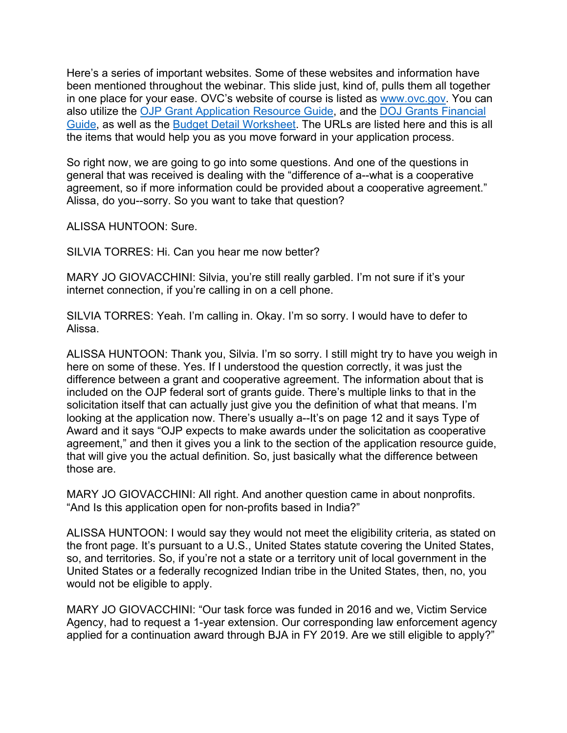Here's a series of important websites. Some of these websites and information have been mentioned throughout the webinar. This slide just, kind of, pulls them all together in one place for your ease. OVC's website of course is listed as [www.ovc.gov.](http://www.ovc.gov/) You can also utilize the [OJP Grant Application Resource Guide,](https://www.ojp.gov/funding/Apply/Resources/Grant-App-Resource-Guide.htm) and the [DOJ Grants Financial](https://ojp.gov/financialguide/DOJ/index.htm)  [Guide,](https://ojp.gov/financialguide/DOJ/index.htm) as well as the [Budget Detail Worksheet.](https://ojp.gov/funding/Apply/Forms/BudgetDetailWorksheet.htm) The URLs are listed here and this is all the items that would help you as you move forward in your application process.

So right now, we are going to go into some questions. And one of the questions in general that was received is dealing with the "difference of a--what is a cooperative agreement, so if more information could be provided about a cooperative agreement." Alissa, do you--sorry. So you want to take that question?

ALISSA HUNTOON: Sure.

SILVIA TORRES: Hi. Can you hear me now better?

MARY JO GIOVACCHINI: Silvia, you're still really garbled. I'm not sure if it's your internet connection, if you're calling in on a cell phone.

SILVIA TORRES: Yeah. I'm calling in. Okay. I'm so sorry. I would have to defer to Alissa.

ALISSA HUNTOON: Thank you, Silvia. I'm so sorry. I still might try to have you weigh in here on some of these. Yes. If I understood the question correctly, it was just the difference between a grant and cooperative agreement. The information about that is included on the OJP federal sort of grants guide. There's multiple links to that in the solicitation itself that can actually just give you the definition of what that means. I'm looking at the application now. There's usually a--It's on page 12 and it says Type of Award and it says "OJP expects to make awards under the solicitation as cooperative agreement," and then it gives you a link to the section of the application resource guide, that will give you the actual definition. So, just basically what the difference between those are.

MARY JO GIOVACCHINI: All right. And another question came in about nonprofits. "And Is this application open for non-profits based in India?"

ALISSA HUNTOON: I would say they would not meet the eligibility criteria, as stated on the front page. It's pursuant to a U.S., United States statute covering the United States, so, and territories. So, if you're not a state or a territory unit of local government in the United States or a federally recognized Indian tribe in the United States, then, no, you would not be eligible to apply.

MARY JO GIOVACCHINI: "Our task force was funded in 2016 and we, Victim Service Agency, had to request a 1-year extension. Our corresponding law enforcement agency applied for a continuation award through BJA in FY 2019. Are we still eligible to apply?"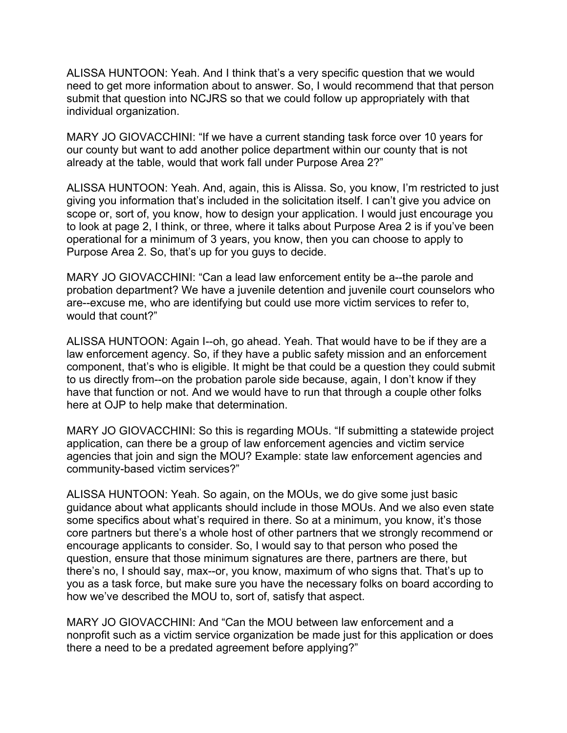ALISSA HUNTOON: Yeah. And I think that's a very specific question that we would need to get more information about to answer. So, I would recommend that that person submit that question into NCJRS so that we could follow up appropriately with that individual organization.

MARY JO GIOVACCHINI: "If we have a current standing task force over 10 years for our county but want to add another police department within our county that is not already at the table, would that work fall under Purpose Area 2?"

ALISSA HUNTOON: Yeah. And, again, this is Alissa. So, you know, I'm restricted to just giving you information that's included in the solicitation itself. I can't give you advice on scope or, sort of, you know, how to design your application. I would just encourage you to look at page 2, I think, or three, where it talks about Purpose Area 2 is if you've been operational for a minimum of 3 years, you know, then you can choose to apply to Purpose Area 2. So, that's up for you guys to decide.

MARY JO GIOVACCHINI: "Can a lead law enforcement entity be a--the parole and probation department? We have a juvenile detention and juvenile court counselors who are--excuse me, who are identifying but could use more victim services to refer to, would that count?"

ALISSA HUNTOON: Again I--oh, go ahead. Yeah. That would have to be if they are a law enforcement agency. So, if they have a public safety mission and an enforcement component, that's who is eligible. It might be that could be a question they could submit to us directly from--on the probation parole side because, again, I don't know if they have that function or not. And we would have to run that through a couple other folks here at OJP to help make that determination.

MARY JO GIOVACCHINI: So this is regarding MOUs. "If submitting a statewide project application, can there be a group of law enforcement agencies and victim service agencies that join and sign the MOU? Example: state law enforcement agencies and community-based victim services?"

ALISSA HUNTOON: Yeah. So again, on the MOUs, we do give some just basic guidance about what applicants should include in those MOUs. And we also even state some specifics about what's required in there. So at a minimum, you know, it's those core partners but there's a whole host of other partners that we strongly recommend or encourage applicants to consider. So, I would say to that person who posed the question, ensure that those minimum signatures are there, partners are there, but there's no, I should say, max--or, you know, maximum of who signs that. That's up to you as a task force, but make sure you have the necessary folks on board according to how we've described the MOU to, sort of, satisfy that aspect.

MARY JO GIOVACCHINI: And "Can the MOU between law enforcement and a nonprofit such as a victim service organization be made just for this application or does there a need to be a predated agreement before applying?"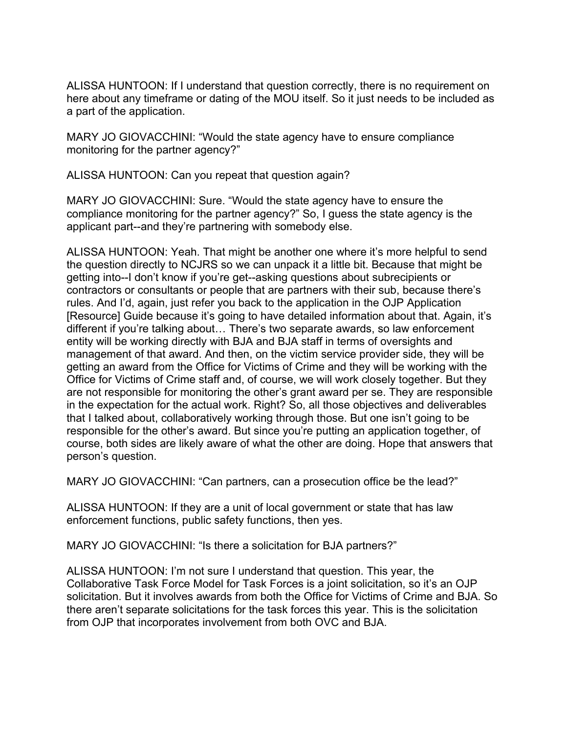ALISSA HUNTOON: If I understand that question correctly, there is no requirement on here about any timeframe or dating of the MOU itself. So it just needs to be included as a part of the application.

MARY JO GIOVACCHINI: "Would the state agency have to ensure compliance monitoring for the partner agency?"

ALISSA HUNTOON: Can you repeat that question again?

MARY JO GIOVACCHINI: Sure. "Would the state agency have to ensure the compliance monitoring for the partner agency?" So, I guess the state agency is the applicant part--and they're partnering with somebody else.

ALISSA HUNTOON: Yeah. That might be another one where it's more helpful to send the question directly to NCJRS so we can unpack it a little bit. Because that might be getting into--I don't know if you're get--asking questions about subrecipients or contractors or consultants or people that are partners with their sub, because there's rules. And I'd, again, just refer you back to the application in the OJP Application [Resource] Guide because it's going to have detailed information about that. Again, it's different if you're talking about… There's two separate awards, so law enforcement entity will be working directly with BJA and BJA staff in terms of oversights and management of that award. And then, on the victim service provider side, they will be getting an award from the Office for Victims of Crime and they will be working with the Office for Victims of Crime staff and, of course, we will work closely together. But they are not responsible for monitoring the other's grant award per se. They are responsible in the expectation for the actual work. Right? So, all those objectives and deliverables that I talked about, collaboratively working through those. But one isn't going to be responsible for the other's award. But since you're putting an application together, of course, both sides are likely aware of what the other are doing. Hope that answers that person's question.

MARY JO GIOVACCHINI: "Can partners, can a prosecution office be the lead?"

ALISSA HUNTOON: If they are a unit of local government or state that has law enforcement functions, public safety functions, then yes.

MARY JO GIOVACCHINI: "Is there a solicitation for BJA partners?"

ALISSA HUNTOON: I'm not sure I understand that question. This year, the Collaborative Task Force Model for Task Forces is a joint solicitation, so it's an OJP solicitation. But it involves awards from both the Office for Victims of Crime and BJA. So there aren't separate solicitations for the task forces this year. This is the solicitation from OJP that incorporates involvement from both OVC and BJA.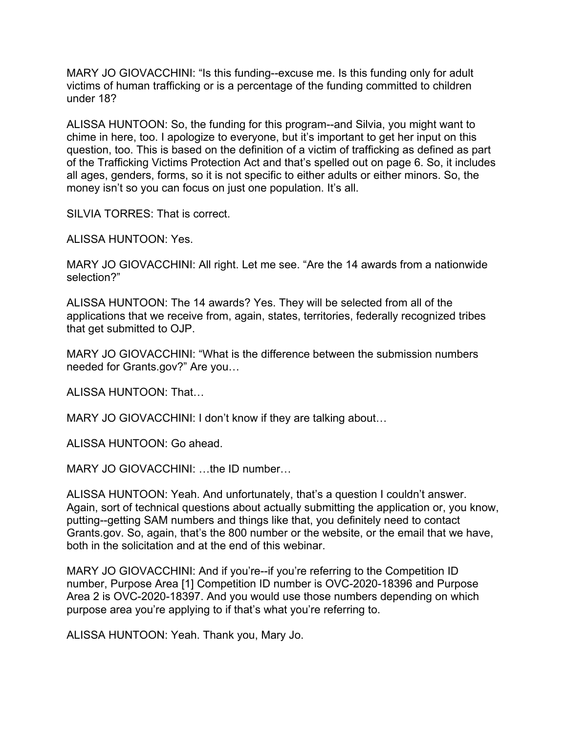MARY JO GIOVACCHINI: "Is this funding--excuse me. Is this funding only for adult victims of human trafficking or is a percentage of the funding committed to children under 18?

ALISSA HUNTOON: So, the funding for this program--and Silvia, you might want to chime in here, too. I apologize to everyone, but it's important to get her input on this question, too. This is based on the definition of a victim of trafficking as defined as part of the Trafficking Victims Protection Act and that's spelled out on page 6. So, it includes all ages, genders, forms, so it is not specific to either adults or either minors. So, the money isn't so you can focus on just one population. It's all.

SILVIA TORRES: That is correct.

ALISSA HUNTOON: Yes.

MARY JO GIOVACCHINI: All right. Let me see. "Are the 14 awards from a nationwide selection?"

ALISSA HUNTOON: The 14 awards? Yes. They will be selected from all of the applications that we receive from, again, states, territories, federally recognized tribes that get submitted to OJP.

MARY JO GIOVACCHINI: "What is the difference between the submission numbers needed for Grants.gov?" Are you…

ALISSA HUNTOON: That…

MARY JO GIOVACCHINI: I don't know if they are talking about…

ALISSA HUNTOON: Go ahead.

MARY JO GIOVACCHINI: …the ID number…

ALISSA HUNTOON: Yeah. And unfortunately, that's a question I couldn't answer. Again, sort of technical questions about actually submitting the application or, you know, putting--getting SAM numbers and things like that, you definitely need to contact Grants.gov. So, again, that's the 800 number or the website, or the email that we have, both in the solicitation and at the end of this webinar.

MARY JO GIOVACCHINI: And if you're--if you're referring to the Competition ID number, Purpose Area [1] Competition ID number is OVC-2020-18396 and Purpose Area 2 is OVC-2020-18397. And you would use those numbers depending on which purpose area you're applying to if that's what you're referring to.

ALISSA HUNTOON: Yeah. Thank you, Mary Jo.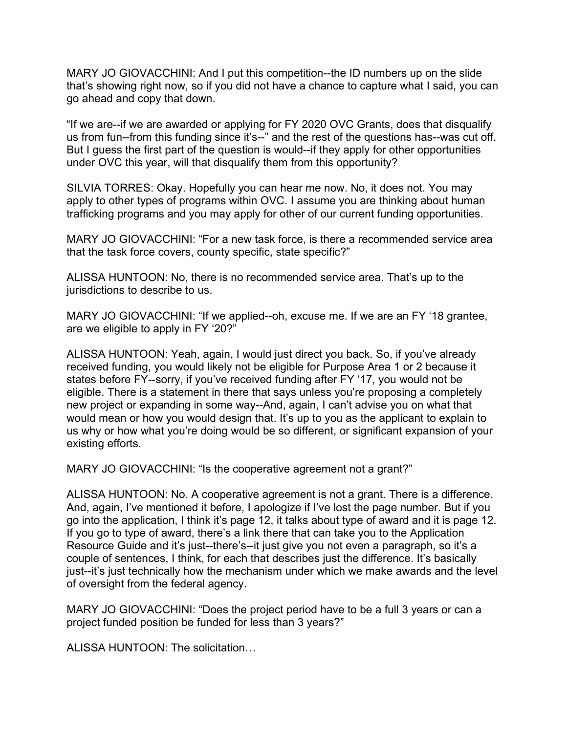MARY JO GIOVACCHINI: And I put this competition--the ID numbers up on the slide that's showing right now, so if you did not have a chance to capture what I said, you can go ahead and copy that down.

"If we are--if we are awarded or applying for FY 2020 OVC Grants, does that disqualify us from fun--from this funding since it's--" and the rest of the questions has--was cut off. But I guess the first part of the question is would--if they apply for other opportunities under OVC this year, will that disqualify them from this opportunity?

SILVIA TORRES: Okay. Hopefully you can hear me now. No, it does not. You may apply to other types of programs within OVC. I assume you are thinking about human trafficking programs and you may apply for other of our current funding opportunities.

MARY JO GIOVACCHINI: "For a new task force, is there a recommended service area that the task force covers, county specific, state specific?"

ALISSA HUNTOON: No, there is no recommended service area. That's up to the jurisdictions to describe to us.

MARY JO GIOVACCHINI: "If we applied--oh, excuse me. If we are an FY '18 grantee, are we eligible to apply in FY '20?"

ALISSA HUNTOON: Yeah, again, I would just direct you back. So, if you've already received funding, you would likely not be eligible for Purpose Area 1 or 2 because it states before FY--sorry, if you've received funding after FY '17, you would not be eligible. There is a statement in there that says unless you're proposing a completely new project or expanding in some way--And, again, I can't advise you on what that would mean or how you would design that. It's up to you as the applicant to explain to us why or how what you're doing would be so different, or significant expansion of your existing efforts.

MARY JO GIOVACCHINI: "Is the cooperative agreement not a grant?"

ALISSA HUNTOON: No. A cooperative agreement is not a grant. There is a difference. And, again, I've mentioned it before, I apologize if I've lost the page number. But if you go into the application, I think it's page 12, it talks about type of award and it is page 12. If you go to type of award, there's a link there that can take you to the Application Resource Guide and it's just--there's--it just give you not even a paragraph, so it's a couple of sentences, I think, for each that describes just the difference. It's basically just--it's just technically how the mechanism under which we make awards and the level of oversight from the federal agency.

MARY JO GIOVACCHINI: "Does the project period have to be a full 3 years or can a project funded position be funded for less than 3 years?"

ALISSA HUNTOON: The solicitation…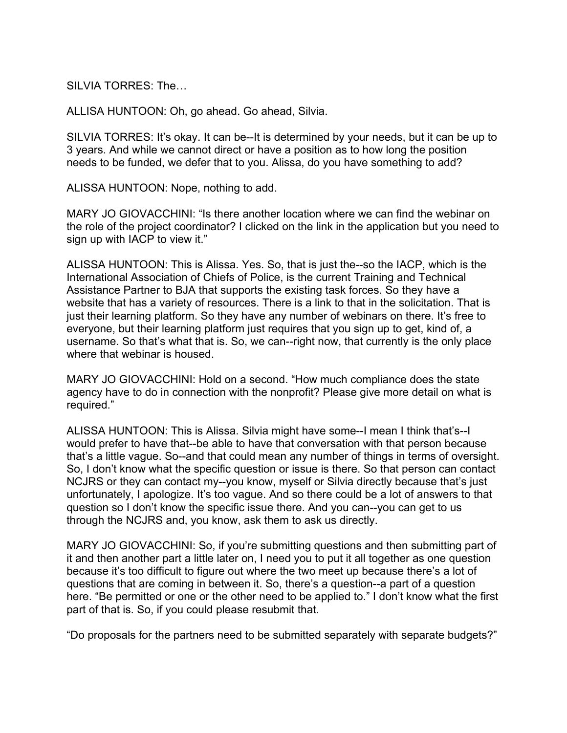SILVIA TORRES: The

ALLISA HUNTOON: Oh, go ahead. Go ahead, Silvia.

SILVIA TORRES: It's okay. It can be--It is determined by your needs, but it can be up to 3 years. And while we cannot direct or have a position as to how long the position needs to be funded, we defer that to you. Alissa, do you have something to add?

ALISSA HUNTOON: Nope, nothing to add.

MARY JO GIOVACCHINI: "Is there another location where we can find the webinar on the role of the project coordinator? I clicked on the link in the application but you need to sign up with IACP to view it."

ALISSA HUNTOON: This is Alissa. Yes. So, that is just the--so the IACP, which is the International Association of Chiefs of Police, is the current Training and Technical Assistance Partner to BJA that supports the existing task forces. So they have a website that has a variety of resources. There is a link to that in the solicitation. That is just their learning platform. So they have any number of webinars on there. It's free to everyone, but their learning platform just requires that you sign up to get, kind of, a username. So that's what that is. So, we can--right now, that currently is the only place where that webinar is housed.

MARY JO GIOVACCHINI: Hold on a second. "How much compliance does the state agency have to do in connection with the nonprofit? Please give more detail on what is required."

ALISSA HUNTOON: This is Alissa. Silvia might have some--I mean I think that's--I would prefer to have that--be able to have that conversation with that person because that's a little vague. So--and that could mean any number of things in terms of oversight. So, I don't know what the specific question or issue is there. So that person can contact NCJRS or they can contact my--you know, myself or Silvia directly because that's just unfortunately, I apologize. It's too vague. And so there could be a lot of answers to that question so I don't know the specific issue there. And you can--you can get to us through the NCJRS and, you know, ask them to ask us directly.

MARY JO GIOVACCHINI: So, if you're submitting questions and then submitting part of it and then another part a little later on, I need you to put it all together as one question because it's too difficult to figure out where the two meet up because there's a lot of questions that are coming in between it. So, there's a question--a part of a question here. "Be permitted or one or the other need to be applied to." I don't know what the first part of that is. So, if you could please resubmit that.

"Do proposals for the partners need to be submitted separately with separate budgets?"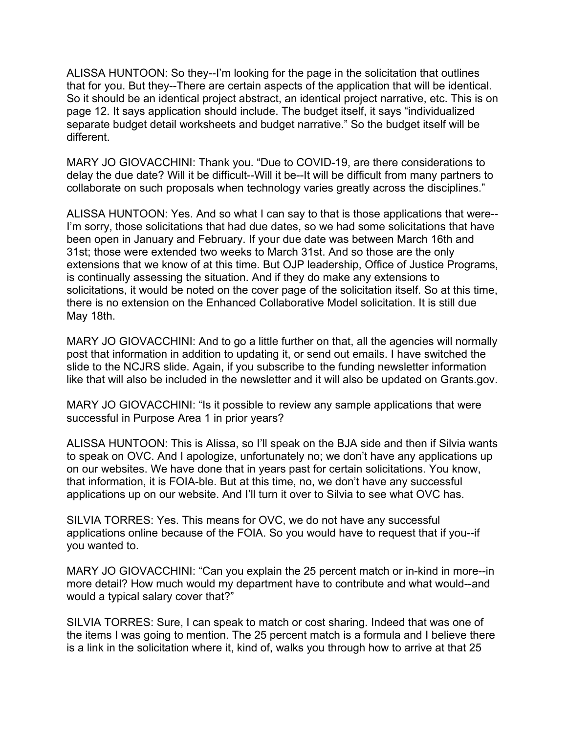ALISSA HUNTOON: So they--I'm looking for the page in the solicitation that outlines that for you. But they--There are certain aspects of the application that will be identical. So it should be an identical project abstract, an identical project narrative, etc. This is on page 12. It says application should include. The budget itself, it says "individualized separate budget detail worksheets and budget narrative." So the budget itself will be different.

MARY JO GIOVACCHINI: Thank you. "Due to COVID-19, are there considerations to delay the due date? Will it be difficult--Will it be--It will be difficult from many partners to collaborate on such proposals when technology varies greatly across the disciplines."

ALISSA HUNTOON: Yes. And so what I can say to that is those applications that were-- I'm sorry, those solicitations that had due dates, so we had some solicitations that have been open in January and February. If your due date was between March 16th and 31st; those were extended two weeks to March 31st. And so those are the only extensions that we know of at this time. But OJP leadership, Office of Justice Programs, is continually assessing the situation. And if they do make any extensions to solicitations, it would be noted on the cover page of the solicitation itself. So at this time, there is no extension on the Enhanced Collaborative Model solicitation. It is still due May 18th.

MARY JO GIOVACCHINI: And to go a little further on that, all the agencies will normally post that information in addition to updating it, or send out emails. I have switched the slide to the NCJRS slide. Again, if you subscribe to the funding newsletter information like that will also be included in the newsletter and it will also be updated on Grants.gov.

MARY JO GIOVACCHINI: "Is it possible to review any sample applications that were successful in Purpose Area 1 in prior years?

ALISSA HUNTOON: This is Alissa, so I'll speak on the BJA side and then if Silvia wants to speak on OVC. And I apologize, unfortunately no; we don't have any applications up on our websites. We have done that in years past for certain solicitations. You know, that information, it is FOIA-ble. But at this time, no, we don't have any successful applications up on our website. And I'll turn it over to Silvia to see what OVC has.

SILVIA TORRES: Yes. This means for OVC, we do not have any successful applications online because of the FOIA. So you would have to request that if you--if you wanted to.

MARY JO GIOVACCHINI: "Can you explain the 25 percent match or in-kind in more--in more detail? How much would my department have to contribute and what would--and would a typical salary cover that?"

SILVIA TORRES: Sure, I can speak to match or cost sharing. Indeed that was one of the items I was going to mention. The 25 percent match is a formula and I believe there is a link in the solicitation where it, kind of, walks you through how to arrive at that 25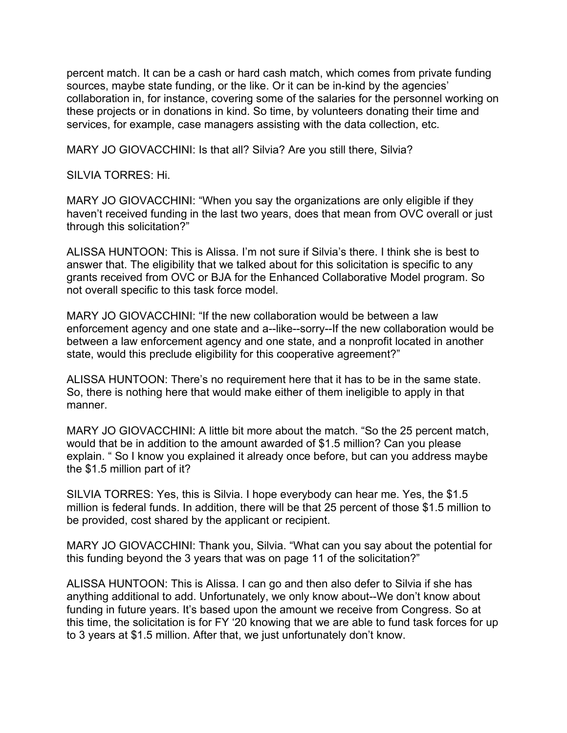percent match. It can be a cash or hard cash match, which comes from private funding sources, maybe state funding, or the like. Or it can be in-kind by the agencies' collaboration in, for instance, covering some of the salaries for the personnel working on these projects or in donations in kind. So time, by volunteers donating their time and services, for example, case managers assisting with the data collection, etc.

MARY JO GIOVACCHINI: Is that all? Silvia? Are you still there, Silvia?

SILVIA TORRES: Hi.

MARY JO GIOVACCHINI: "When you say the organizations are only eligible if they haven't received funding in the last two years, does that mean from OVC overall or just through this solicitation?"

ALISSA HUNTOON: This is Alissa. I'm not sure if Silvia's there. I think she is best to answer that. The eligibility that we talked about for this solicitation is specific to any grants received from OVC or BJA for the Enhanced Collaborative Model program. So not overall specific to this task force model.

MARY JO GIOVACCHINI: "If the new collaboration would be between a law enforcement agency and one state and a--like--sorry--If the new collaboration would be between a law enforcement agency and one state, and a nonprofit located in another state, would this preclude eligibility for this cooperative agreement?"

ALISSA HUNTOON: There's no requirement here that it has to be in the same state. So, there is nothing here that would make either of them ineligible to apply in that manner.

MARY JO GIOVACCHINI: A little bit more about the match. "So the 25 percent match, would that be in addition to the amount awarded of \$1.5 million? Can you please explain. " So I know you explained it already once before, but can you address maybe the \$1.5 million part of it?

SILVIA TORRES: Yes, this is Silvia. I hope everybody can hear me. Yes, the \$1.5 million is federal funds. In addition, there will be that 25 percent of those \$1.5 million to be provided, cost shared by the applicant or recipient.

MARY JO GIOVACCHINI: Thank you, Silvia. "What can you say about the potential for this funding beyond the 3 years that was on page 11 of the solicitation?"

ALISSA HUNTOON: This is Alissa. I can go and then also defer to Silvia if she has anything additional to add. Unfortunately, we only know about--We don't know about funding in future years. It's based upon the amount we receive from Congress. So at this time, the solicitation is for FY '20 knowing that we are able to fund task forces for up to 3 years at \$1.5 million. After that, we just unfortunately don't know.